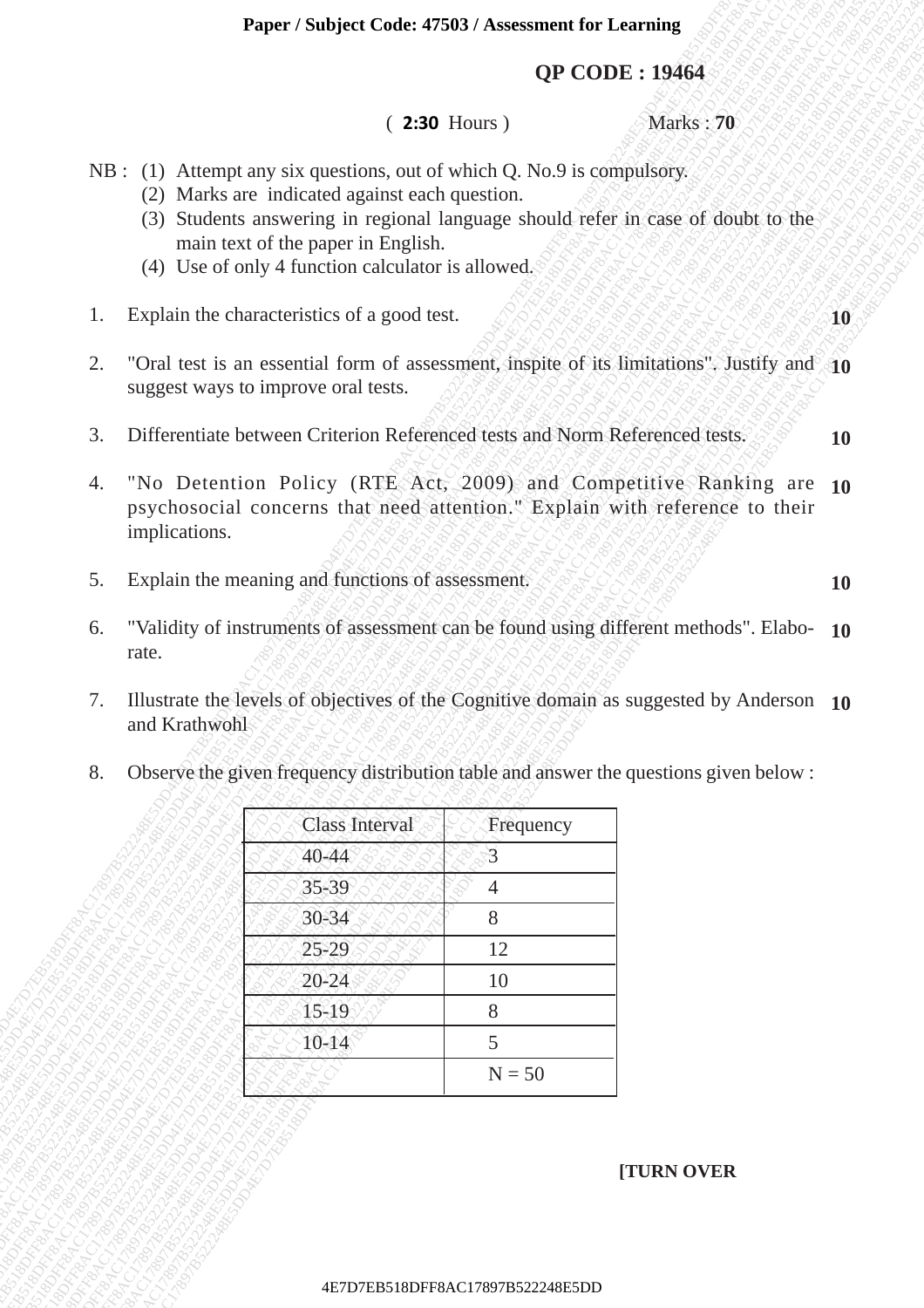### **QP CODE : 19464**

#### ( **2:30** Hours ) Marks : **70**

- NB : (1) Attempt any six questions, out of which Q. No.9 is compulsory.
	- (2) Marks are indicated against each question.
	- (3) Students answering in regional language should refer in case of doubt to the main text of the paper in English.
	- (4) Use of only 4 function calculator is allowed.
- 1. Explain the characteristics of a good test.
- 2. "Oral test is an essential form of assessment, inspite of its limitations". Justify and **10** suggest ways to improve oral tests.
- 3. Differentiate between Criterion Referenced tests and Norm Referenced tests.
- 4. "No Detention Policy (RTE Act, 2009) and Competitive Ranking are **10** psychosocial concerns that need attention." Explain with reference to their implications.
- 5. Explain the meaning and functions of assessment.
- 6. "Validity of instruments of assessment can be found using different methods". Elabo-**10** rate.
- 7. Illustrate the levels of objectives of the Cognitive domain as suggested by Anderson **10** and Krathwohl

| Observe the given frequency distribution table and answer the questions given below: |  |  |  |  |
|--------------------------------------------------------------------------------------|--|--|--|--|
|                                                                                      |  |  |  |  |

|          |                                                  | Paper / Subject Code: 47503 / Assessment for Learning                                                                                                                                                                |                     |                                                                                                                                                                                  |           |
|----------|--------------------------------------------------|----------------------------------------------------------------------------------------------------------------------------------------------------------------------------------------------------------------------|---------------------|----------------------------------------------------------------------------------------------------------------------------------------------------------------------------------|-----------|
|          |                                                  |                                                                                                                                                                                                                      |                     | <b>QP CODE: 19464</b>                                                                                                                                                            |           |
|          |                                                  |                                                                                                                                                                                                                      | <b>2:30 Hours</b> ) | Marks: 70                                                                                                                                                                        |           |
|          |                                                  | NB : (1) Attempt any six questions, out of which Q. No.9 is compulsory.<br>(2) Marks are indicated against each question.<br>main text of the paper in English.<br>(4) Use of only 4 function calculator is allowed. |                     | (3) Students answering in regional language should refer in case of doubt to the                                                                                                 |           |
| 1.       |                                                  | Explain the characteristics of a good test.                                                                                                                                                                          |                     |                                                                                                                                                                                  | -10       |
| 2.       |                                                  | suggest ways to improve oral tests.                                                                                                                                                                                  |                     | "Oral test is an essential form of assessment, inspite of its limitations". Justify and 10                                                                                       |           |
| 3.       |                                                  | Differentiate between Criterion Referenced tests and Norm Referenced tests.                                                                                                                                          |                     |                                                                                                                                                                                  | <b>10</b> |
| 4.       | implications.                                    |                                                                                                                                                                                                                      |                     | "No Detention Policy (RTE Act, 2009) and Competitive Ranking are 10<br>psychosocial concerns that need attention." Explain with reference to their                               |           |
| 5.       | Explain the meaning and functions of assessment. |                                                                                                                                                                                                                      |                     | <b>10</b>                                                                                                                                                                        |           |
| 7.<br>8. | rate.<br>and Krathwohl                           |                                                                                                                                                                                                                      |                     | Illustrate the levels of objectives of the Cognitive domain as suggested by Anderson 10<br>Observe the given frequency distribution table and answer the questions given below : |           |
|          |                                                  | <b>Class Interval</b>                                                                                                                                                                                                | Frequency           |                                                                                                                                                                                  |           |
|          |                                                  | $40 - 44$                                                                                                                                                                                                            | 3                   |                                                                                                                                                                                  |           |
|          |                                                  | 35-39                                                                                                                                                                                                                | 4                   |                                                                                                                                                                                  |           |
|          |                                                  | $30 - 34$                                                                                                                                                                                                            | 8                   |                                                                                                                                                                                  |           |
|          |                                                  | $25 - 29$                                                                                                                                                                                                            | 12                  |                                                                                                                                                                                  |           |
|          |                                                  | $20 - 24$                                                                                                                                                                                                            | 10                  |                                                                                                                                                                                  |           |
|          |                                                  |                                                                                                                                                                                                                      |                     |                                                                                                                                                                                  |           |
|          |                                                  | $15 - 19$                                                                                                                                                                                                            | 8                   |                                                                                                                                                                                  |           |
|          |                                                  | $10 - 14$                                                                                                                                                                                                            | 5<br>$N = 50$       |                                                                                                                                                                                  |           |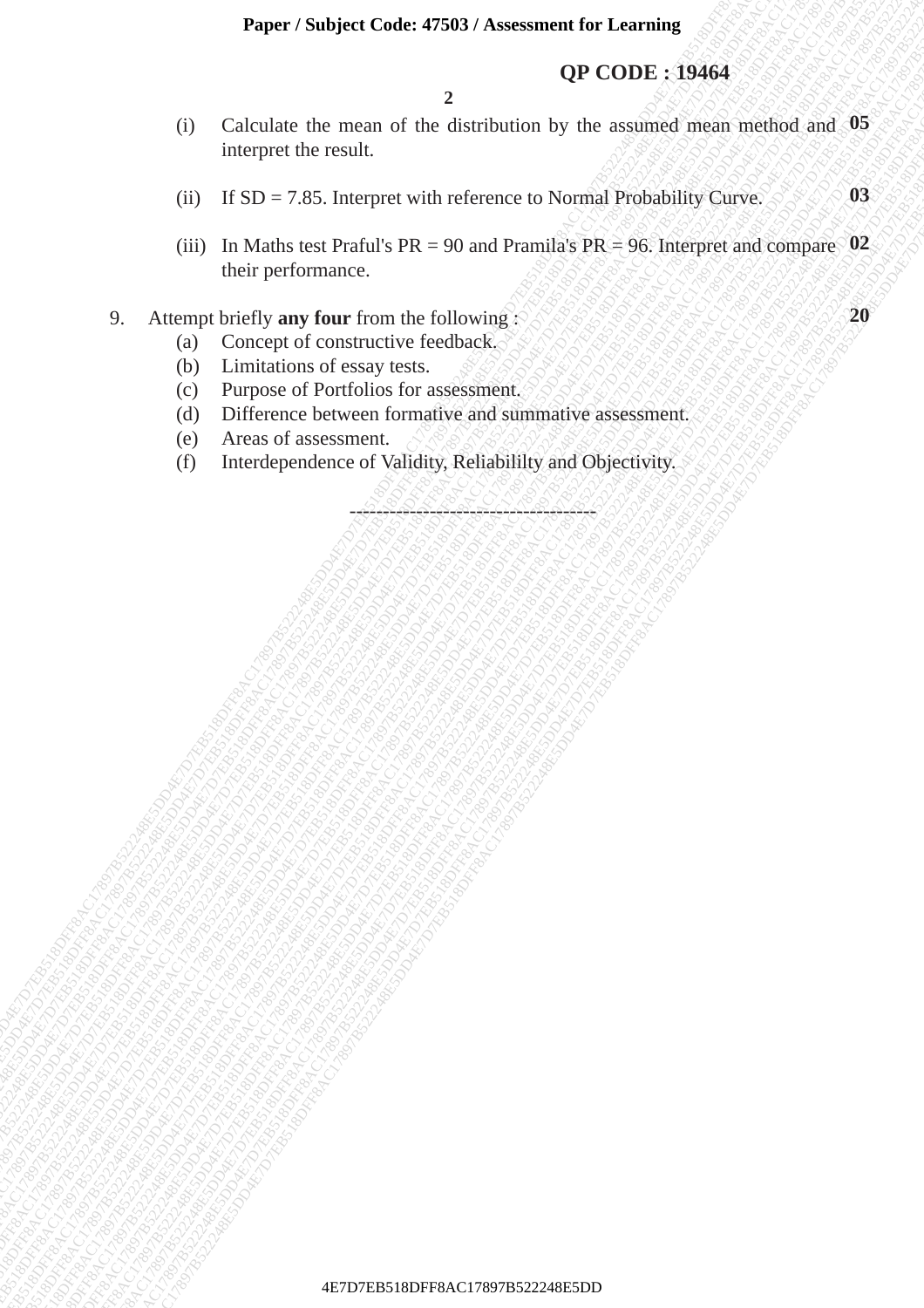#### **Paper / Subject Code: 47503 / Assessment for Learning**

#### **QP CODE : 19464**

**2**

- **42P CODE : 19464**<br>
4D Calculate the means of the distribution by the assumed means a needed and 9%<br>
1E1819 12.35 Interpret with reference to Normal Probability Curve<br>
(iii) In Malits Lest Probability 4DF 4-900 and Promal QP CODE 319464<br>
(i) Calculate the result.<br>
(iii) In Maths can Prafill a NR a-90 and Pramille by Covera<br>
(iii) In Maths can Prafill a NR a-90 and Pramille PR = 90. Interpret and company 03.<br>
(b) Concept of onestance behalv FREET Surfact Concessions and the distribution by the usuanized mean method and 48<br>
(B) IFSD -7-85 Interpret with reference to Normal Probability Curve<br>
(B) IFSD -7-85 Interpret with reference to Normal Probability Curve<br> Exper 7 Statistics Code: 47939 7 Assessment for Learning<br>
(i) Calculate the mean of the distribution by the assessed mean method and 3B<br>
interpect the cental<br>
(ii) If SD = 7.85, Interpret with reference to Norrige Predicti Fagrer / Subject Code: 4758187 Assessment for Learning<br>
(DF CODE 3 19464)<br>
(D Calculate the recent of the distribution by the assumed premier of the state of the recent of the state of the state of the state of the state **Expect 7Solight Codes 4760.9** Assessment for Learning **OF**<br>
(3) Calculate the mean of the distribution by the availants of the mean of 50 linearpool in the system of the system of the system of the system of the performa Framer / Studyiel Coole 47880/ Associated for Learning<br>
(a) Calculate the monta of the sintribution by the assumed mean method and<br>
(ii) H SD -788 Interpret with reference to Normal Probability Curve.<br>
(ii) H shall such th Framer Stockyer Coole 47880 V Assessment for Learning ( $QP$  CODE 193464<br>
(i) Calculate the moon of the distribution by the most and one motified and (i)<br>
(ii) If SID = 7.85. Insterned with militarize is a Margarita (Separ Framer Stockyer Coole 47880 V Assessment for Learning ( $QP$  CODE 193464<br>
(i) Calculate the moon of the distribution by the most and one motified and (i)<br>
(ii) If SID = 7.85. Insterned with militarize is a Margarita (Separ Framer Stockyer Coole 47880 V Assessment for Learning ( $QP$  CODE 193464<br>
(i) Calculate the moon of the distribution by the most and one motified and (i)<br>
(ii) If SID = 7.85. Insterned with militarize is a Margarita (Separ Framer Stockyer Coole 47880 V Assessment for Learning ( $QP$  CODE 193464<br>
(i) Calculate the moon of the distribution by the most and one motified and (i)<br>
(ii) If SID = 7.85. Insterned with militarize is a Margarita (Separ Framer Stockyer Coole 47880 V Assessment for Learning ( $QP$  CODE 193464<br>
(i) Calculate the moon of the distribution by the most and one motified and (i)<br>
(ii) If SID = 7.85. Insterned with militarize is a Margarita (Separ Experis Studyer Code: 47800 Assessment for Learning<br>
(C) Colcalate the rocali. The distribution by the assistance stocking and 0.85<br>
interpret the result.<br>
(d) If SD - 7.85 Interpret with reference to Normal Probability Cu Expect Southert Code: 47880 / Assessment for Learning<br>
OP CODE: 19464<br>
C Calculate the mean of the distribution by the assesses mean method and 39<br>
interpret with selectron control of the distribution of the selectron of t **Paper / Sudget Code: 47593 / Associated tor Learning CRODE 1.94644**<br>
(C) Calculate the resear of the distribution hy the assumed mean included and 9.85<br>
(d) L18DF 7.85 harenese with relevence to Normal Probability Curve Paper / Sealiyed Code: 47583 / Associated for Learning<br>
(D CODE: 19464<br>
C Colculate the means of the distribution by the assumed mean mechod and 35<br>
interpret time result.<br>
(B) III SID-7.88. Interpret with reference to Nor **Experiment Studiest Condec 4758D7 Assessment for Learning CFF CODE:** 194644<br>
(i) Calculatus the metals and the distribution by the mostlest metal and the interpret valid conduct the conduct of the mostlest metal and the Puper / Startycet Contect 47580 / Assessment for Learning<br>
QP CODE : 19464<br>
C Calculate the mean of the distribution by the assumed mean meilind and<br>
titurgives the consult.<br>
(ii) In Matte too Particle with reference to No Funer / Subject Code: 47883/ Associated for the reasonable distribution by the assumed mean method and interpret the ensuit.<br>
(D) LEDE-1785. Interpret with reference to Normal Probability Curve.<br>
(B) II SD-7-785. Interpret Fager / Stablett Code: 47580 / Assessment for Lorning<br>
QP CODE 1 19464<br>
(i) Calculator die metals of the distribution by the assimed mean are distorted<br>
(iii) Its Da-7.85. Interpret with reference to Normal Probability Cur (i) Calculate the mean of the distribution by the assumed mean method and **05** interpret the result.
	- (ii) If  $SD = 7.85$ . Interpret with reference to Normal Probability Curve. **03**
	- (iii) In Maths test Praful's  $PR = 90$  and Pramila's  $PR = 96$ . Interpret and compare  $02$ their performance.

#### 9. Attempt briefly **any four** from the following :

- (a) Concept of constructive feedback.
- (b) Limitations of essay tests.
- (c) Purpose of Portfolios for assessment.
- (d) Difference between formative and summative assessment.
- (e) Areas of assessment.
- (f) Interdependence of Validity, Reliabililty and Objectivity.

-------------------------------------

**20**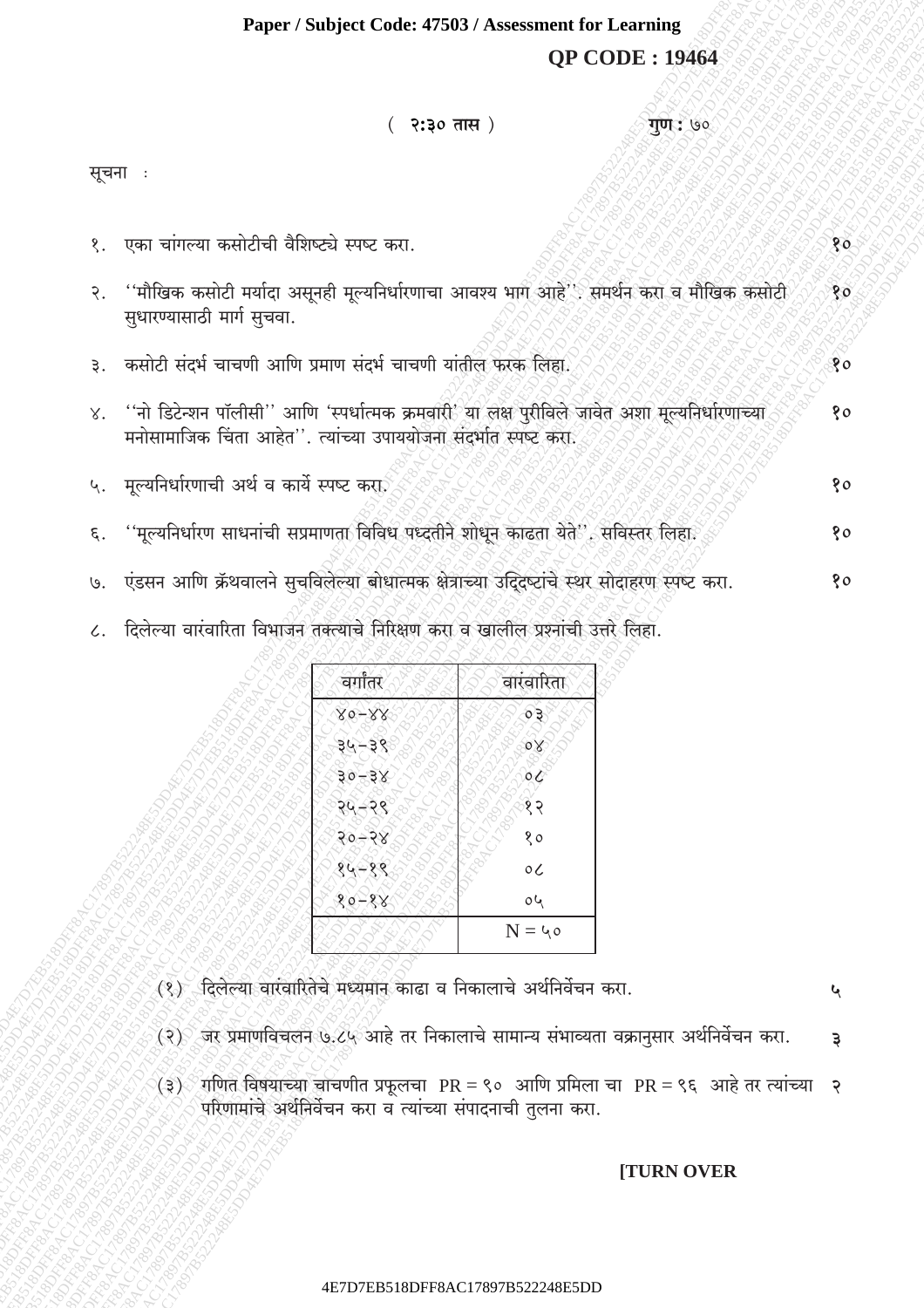# Paper / Subject Code: 47503 / Assessment for Learning **QP CODE: 19464**

| २:३० तास)<br>गुण : ७०                                                                                                                                                   |                 |
|-------------------------------------------------------------------------------------------------------------------------------------------------------------------------|-----------------|
| सूचना :                                                                                                                                                                 |                 |
| १.  एका चांगल्या कसोटीची वैशिष्ट्ये स्पष्ट करा.                                                                                                                         | 80              |
| २. ''मौखिक कसोटी मर्यादा असूनही मूल्यनिर्धारणाचा आवश्य भाग आहे''. समर्थन करा व मौखिक कसोटी<br>सुधारण्यासाठी मार्ग सुचवा.                                                | 80 <sub>o</sub> |
| ३. कसोटी संदर्भ चाचणी आणि प्रमाण संदर्भ चाचणी यांतील फरक लिहा.                                                                                                          | १०              |
| ४. ''नो डिटेन्शन पॉलीसी'' आणि 'स्पर्धात्मक क्रमवारी' या लक्ष पुरीविले जावेत अशा मूल्यनिर्धारणाच्या<br>मनोसामाजिक चिंता आहेत''. त्यांच्या उपाययोजना संदर्भात स्पष्ट करा. | १०              |
| ५. मूल्यनिर्धारणाची अर्थ व कार्ये स्पष्ट करा                                                                                                                            | १०              |
| ६. ''मूल्यनिर्धारण साधनांची सप्रमाणता विविध पध्दतीने शोधून काढता येते", सविस्तर लिहा.                                                                                   | 80              |
| ७. एंडसन आणि क्रॅथवालने सुचविलेल्या बोधात्मक क्षेत्राच्या उद्दिष्टांचे स्थर सोदाहरण स्पष्ट करा.                                                                         | १०              |
|                                                                                                                                                                         |                 |

दिलेल्या वारवारिता विभाजन तक्त्याचे निरिक्षण करा व खालील प्रश्नाची उत्तर लिहा.  $\mathcal{L}.$ 

| G<br>ਜਾ                      | ∣रव<br>d                 |
|------------------------------|--------------------------|
| $\overline{\mathsf{x}}$<br>o |                          |
|                              | $\circ$<br>ŏ             |
| È<br>३०<br>-३<br>X<br>Gì     |                          |
|                              | १२                       |
| ہ ج                          | CI <sub>ZROS</sub><br>80 |
| ₹                            | $\circ c$<br>96          |
| O                            | $0\,$                    |
|                              | $N = 40$                 |

- (१) दिलेल्या वारंवारितेचे मध्यमान काढा व निकालाचे अर्थनिर्वेचन करा.
- (२) जर प्रमाणविचलन ७.८५ आहे तर निकालाचे सामान्य संभाव्यता वक्रानुसार अर्थनिर्वेचन करा.  $\mathfrak{z}$
- (३) गणित विषयाच्या चाचणीत प्रफूलचा PR = ९० आणि प्रमिला चा PR = ९६ आहे तर त्यांच्या २<br>⁄ √ परिणामांचे अर्थनिर्वेचन करा व त्यांच्या संपादनाची तुलना करा.

## **[TURN OVER**

 $\mathbf{v}$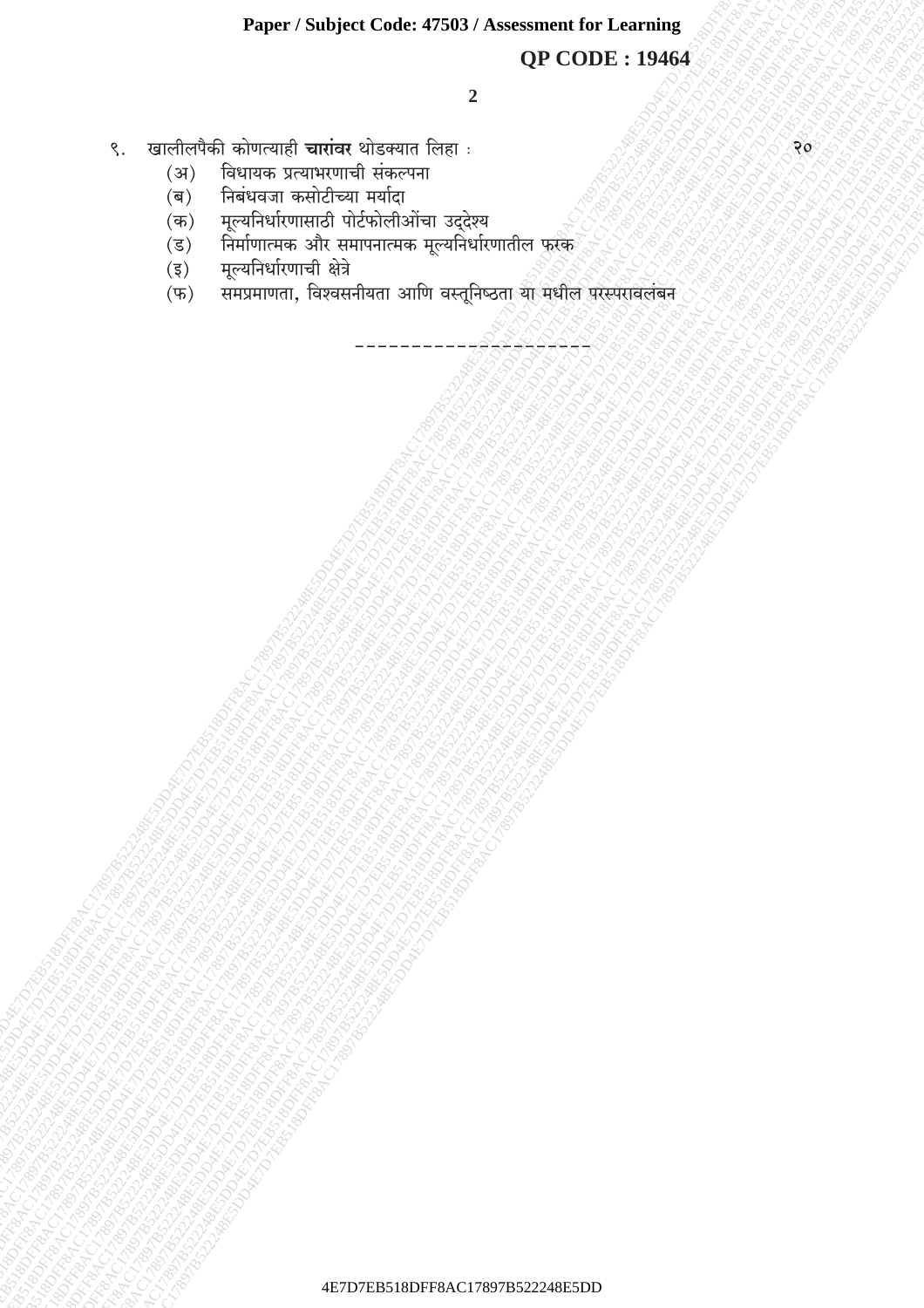# **QP CODE: 19464**

- खालीलपैकी कोणत्याही **चारांवर** थोडक्यात लिहा:  $\zeta$ .
	- विधायक प्रत्याभरणाची संकल्पना  $(3)$
	- निबंधवजा कसोटीच्या मर्यादा  $(\overline{\mathbf{p}})$
	- मूल्यनिर्धारणासाठी पोर्टफोलीओंचा उद्देश्य  $(\overline{\bullet})$
	- निर्माणात्मक और समापनात्मक मूल्यनिर्धारणातील फुरक  $(\overline{s})$
	- मूल्यनिर्धारणाची क्षेत्रे  $(\overline{\xi})$
	- समप्रमाणता, विश्वसनीयता आणि वस्तूनिष्ठता या मधील परस्परावलंबन  $(\overline{\Psi})$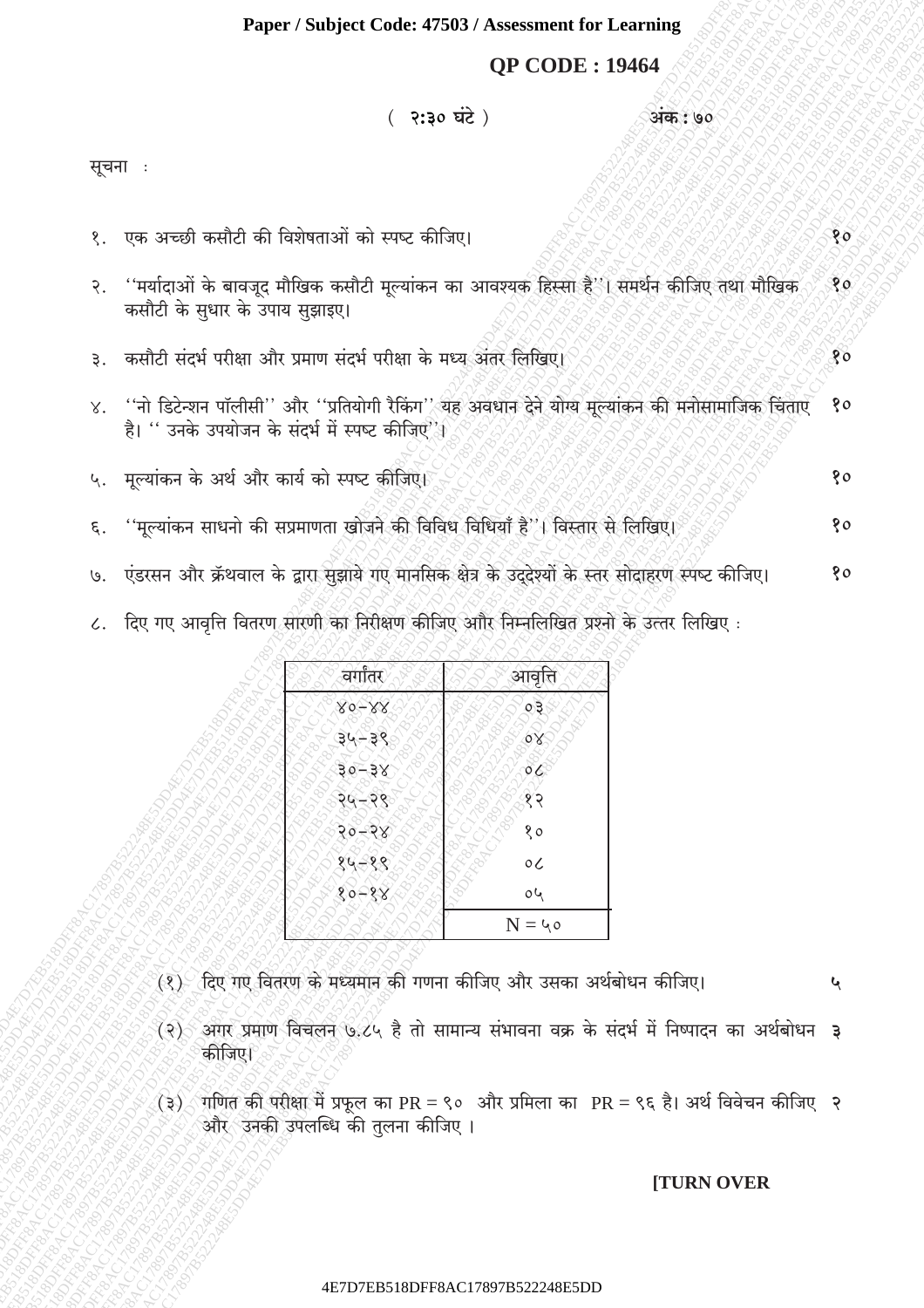# **QP CODE: 19464**

अंक : ७०

## ( २:३० घंटे)

सूचना :

| १. एक अच्छी कसौटी की विशेषताओं को स्पष्ट कीजिए।                                                                                                           | 80           |
|-----------------------------------------------------------------------------------------------------------------------------------------------------------|--------------|
| २. ''मर्यादाओं के बावजूद मौखिक कसौटी मूल्यांकन का आवश्यक हिस्सा है''। समर्थन कीजिए तथा मौखिक<br>कसौटी के सुधार के उपाय सुझाइए।                            | $80^{\circ}$ |
| ३. कसौटी संदर्भ परीक्षा और प्रमाण संदर्भ परीक्षा के मध्य अंतर लिखिए।                                                                                      | १०           |
| ४. ''नो डिटेन्शन पॉलीसी'' और ''प्रतियोगी रैकिंग'' यह अवधान देने योग्य मूल्यांकन की मनोसामाजिक चिंताएँ<br>है। '' उनके उपयोजन के संदर्भ में स्पष्ट कीजिए''। | 90           |
| ५. मूल्यांकन के अर्थ और कार्य को स्पष्ट कीजिएे।                                                                                                           | १०           |
| ६. ''मूल्यांकन साधनो की सप्रमाणता खोजने की विविध विधियाँ है''। विस्तार से लिखिए।                                                                          | १०           |
| ७. एंडरसन और क्रॅथवाल के द्वारा सुझाये गए मानसिक क्षेत्र के उद्देश्यों के स्तर सोदाहरण स्पष्ट कीजिए।                                                      | १०           |

८. दिए गए आवृत्ति वितरण सारणी का निरीक्षण कीजिए आौर निम्नलिखित प्रश्नों के उत्तर लिखिए:

| G                                                                        |                                    |
|--------------------------------------------------------------------------|------------------------------------|
| $\mathscr{S}$<br>Χ                                                       | ०३<br>U                            |
| ੇ<br>্ৰই<br>38<br>E                                                      | È                                  |
| <b>JSTORATOR</b><br><b>IC</b> 1989<br><b>BO-</b><br>$\frac{1}{2}$<br>120 | <b>CARGIN</b>                      |
| <b>RADO</b><br>188<br>RAYC<br>LE<br>RAST.                                |                                    |
| 30-0<br><b>RAS</b><br><b>BRAN</b><br>180AX                               | River Creator Castle River         |
| <b>ROMA</b><br>1800 RM<br>€<br>132.<br>$\overline{\mathcal{S}}$<br>Ę     | É,                                 |
| <b>ROBIT</b><br>\$                                                       | <b>Propriet of Division Ration</b> |
| U                                                                        | $\mathrm{N}$ = ५०                  |

- (१) दिए गए वितरण के मध्यमान की गणना कीजिए और उसका अर्थबोधन कीजिए।
- (२) अगर प्रमाण विचलन ७.८५ है तो सामान्य संभावना वक्र के संदर्भ में निष्पादन का अर्थबोधन ३ कीजिए।
- (३) गणित की परीक्षा में प्रफूल का PR = ९० और प्रमिला का PR = ९६ है। अर्थ विवेचन कीजिए २ और<sup>्</sup>उनकी उपलब्धि की तुलना कीजिए ।

#### **[TURN OVER**

 $\mathbf{G}$